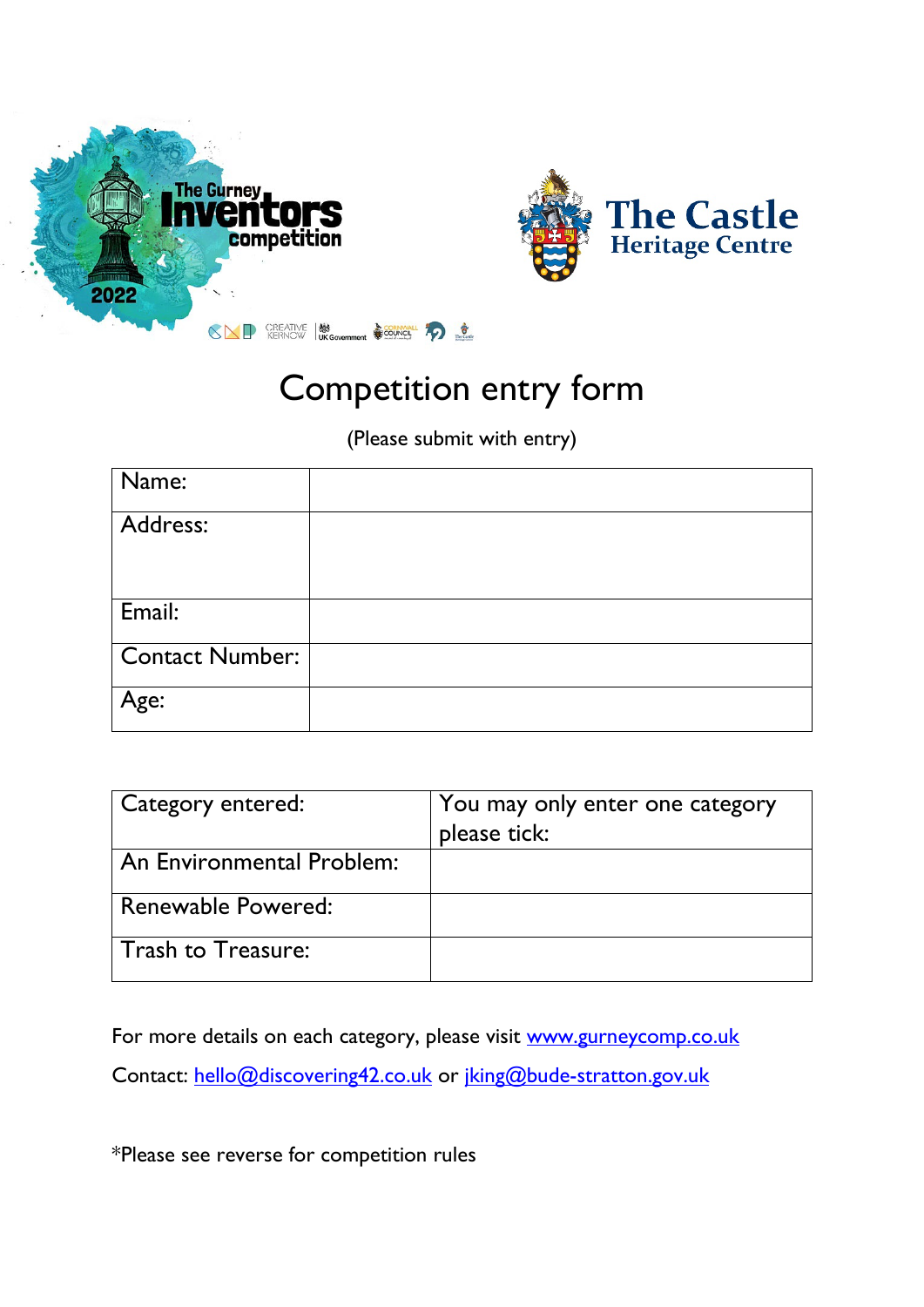



## Competition entry form

(Please submit with entry)

| Name:                  |  |
|------------------------|--|
| Address:               |  |
|                        |  |
| Email:                 |  |
| <b>Contact Number:</b> |  |
| Age:                   |  |

| Category entered:         | You may only enter one category<br>please tick: |
|---------------------------|-------------------------------------------------|
| An Environmental Problem: |                                                 |
| Renewable Powered:        |                                                 |
| Trash to Treasure:        |                                                 |

For more details on each category, please visit [www.gurneycomp.co.uk](http://www.gurneycomp.co.uk/) Contact: [hello@discovering42.co.uk](mailto:hello@discovering42.co.uk) or [jking@bude-stratton.gov.uk](mailto:jking@bude-stratton.gov.uk)

\*Please see reverse for competition rules